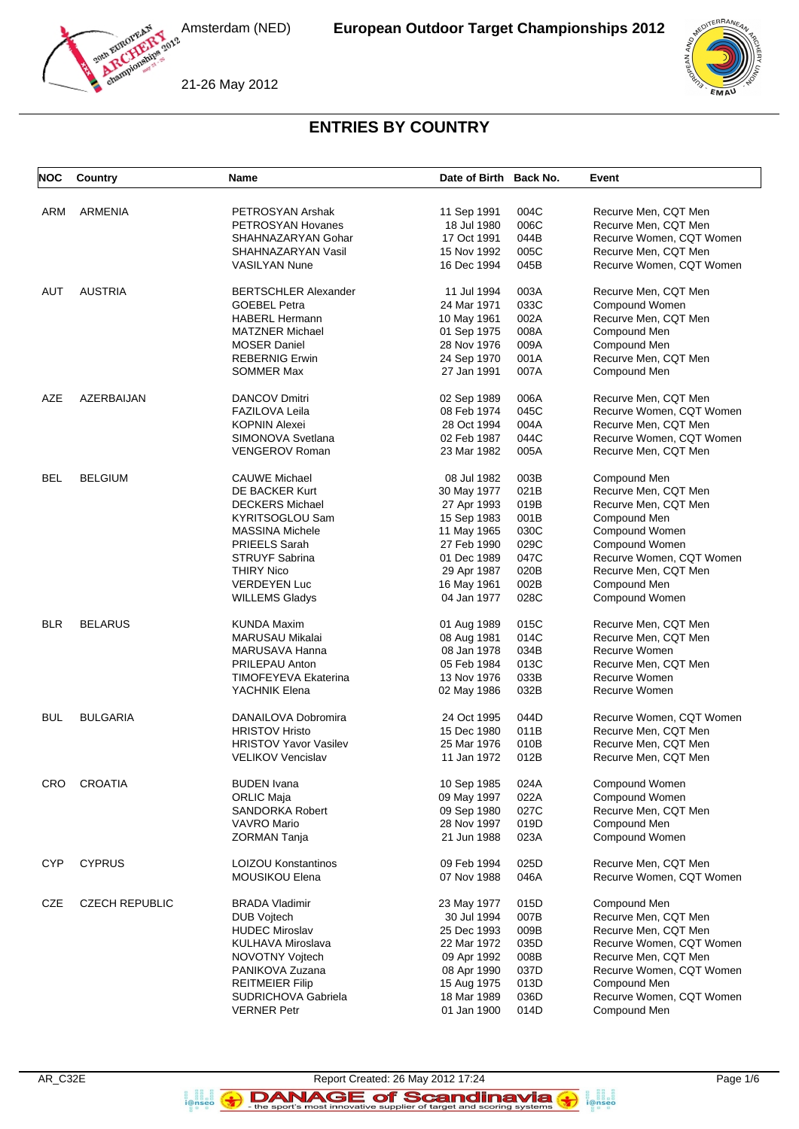



21-26 May 2012

# **ENTRIES BY COUNTRY**

| <b>NOC</b> | Country               | Name                                                     | Date of Birth Back No.     |              | Event                                            |
|------------|-----------------------|----------------------------------------------------------|----------------------------|--------------|--------------------------------------------------|
| ARM        | <b>ARMENIA</b>        | PETROSYAN Arshak                                         | 11 Sep 1991                | 004C         | Recurve Men, CQT Men                             |
|            |                       | PETROSYAN Hovanes                                        | 18 Jul 1980                | 006C         | Recurve Men, CQT Men                             |
|            |                       | SHAHNAZARYAN Gohar                                       | 17 Oct 1991                | 044B         | Recurve Women, CQT Women                         |
|            |                       | SHAHNAZARYAN Vasil                                       | 15 Nov 1992                | 005C         | Recurve Men, CQT Men                             |
|            |                       | <b>VASILYAN Nune</b>                                     | 16 Dec 1994                | 045B         | Recurve Women, CQT Women                         |
|            |                       |                                                          |                            |              |                                                  |
| AUT        | <b>AUSTRIA</b>        | <b>BERTSCHLER Alexander</b><br><b>GOEBEL Petra</b>       | 11 Jul 1994                | 003A         | Recurve Men, CQT Men                             |
|            |                       |                                                          | 24 Mar 1971                | 033C         | Compound Women                                   |
|            |                       | <b>HABERL Hermann</b>                                    | 10 May 1961                | 002A<br>008A | Recurve Men, CQT Men                             |
|            |                       | <b>MATZNER Michael</b>                                   | 01 Sep 1975                |              | Compound Men                                     |
|            |                       | <b>MOSER Daniel</b>                                      | 28 Nov 1976                | 009A         | Compound Men<br>Recurve Men, CQT Men             |
|            |                       | <b>REBERNIG Erwin</b>                                    | 24 Sep 1970                | 001A         |                                                  |
|            |                       | <b>SOMMER Max</b>                                        | 27 Jan 1991                | 007A         | Compound Men                                     |
| AZE        | AZERBAIJAN            | <b>DANCOV Dmitri</b>                                     | 02 Sep 1989                | 006A         | Recurve Men, CQT Men                             |
|            |                       | <b>FAZILOVA Leila</b>                                    | 08 Feb 1974                | 045C         | Recurve Women, CQT Women                         |
|            |                       | <b>KOPNIN Alexei</b>                                     | 28 Oct 1994                | 004A         | Recurve Men, CQT Men                             |
|            |                       | SIMONOVA Svetlana                                        | 02 Feb 1987                | 044C         | Recurve Women, CQT Women                         |
|            |                       | <b>VENGEROV Roman</b>                                    | 23 Mar 1982                | 005A         | Recurve Men, CQT Men                             |
| BEL        |                       |                                                          |                            |              | Compound Men                                     |
|            | <b>BELGIUM</b>        | <b>CAUWE Michael</b><br>DE BACKER Kurt                   | 08 Jul 1982                | 003B<br>021B | Recurve Men, CQT Men                             |
|            |                       |                                                          | 30 May 1977                | 019B         | Recurve Men, CQT Men                             |
|            |                       | <b>DECKERS Michael</b><br><b>KYRITSOGLOU Sam</b>         | 27 Apr 1993                | 001B         |                                                  |
|            |                       | <b>MASSINA Michele</b>                                   | 15 Sep 1983                | 030C         | Compound Men<br>Compound Women                   |
|            |                       |                                                          | 11 May 1965                | 029C         |                                                  |
|            |                       | <b>PRIEELS Sarah</b><br><b>STRUYF Sabrina</b>            | 27 Feb 1990<br>01 Dec 1989 | 047C         | Compound Women<br>Recurve Women, CQT Women       |
|            |                       |                                                          |                            | 020B         |                                                  |
|            |                       | <b>THIRY Nico</b><br><b>VERDEYEN Luc</b>                 | 29 Apr 1987                | 002B         | Recurve Men, CQT Men                             |
|            |                       |                                                          | 16 May 1961                |              | Compound Men                                     |
|            |                       | <b>WILLEMS Gladys</b>                                    | 04 Jan 1977                | 028C         | Compound Women                                   |
| <b>BLR</b> | <b>BELARUS</b>        | <b>KUNDA Maxim</b>                                       | 01 Aug 1989                | 015C         | Recurve Men, CQT Men                             |
|            |                       | MARUSAU Mikalai                                          | 08 Aug 1981                | 014C         | Recurve Men, CQT Men                             |
|            |                       | MARUSAVA Hanna                                           | 08 Jan 1978                | 034B         | Recurve Women                                    |
|            |                       | PRILEPAU Anton                                           | 05 Feb 1984                | 013C         | Recurve Men, CQT Men                             |
|            |                       | <b>TIMOFEYEVA Ekaterina</b>                              | 13 Nov 1976                | 033B         | Recurve Women                                    |
|            |                       | YACHNIK Elena                                            | 02 May 1986                | 032B         | Recurve Women                                    |
|            |                       |                                                          | 24 Oct 1995                |              |                                                  |
| BUL        | <b>BULGARIA</b>       | DANAILOVA Dobromira<br><b>HRISTOV Hristo</b>             | 15 Dec 1980                | 044D<br>011B | Recurve Women, CQT Women<br>Recurve Men, CQT Men |
|            |                       |                                                          |                            | 010B         |                                                  |
|            |                       | <b>HRISTOV Yavor Vasilev</b><br><b>VELIKOV Vencislav</b> | 25 Mar 1976<br>11 Jan 1972 | 012B         | Recurve Men, CQT Men                             |
|            |                       |                                                          |                            |              | Recurve Men, CQT Men                             |
| CRO        | <b>CROATIA</b>        | <b>BUDEN</b> Ivana                                       | 10 Sep 1985                | 024A         | Compound Women                                   |
|            |                       | <b>ORLIC Maja</b>                                        | 09 May 1997                | 022A         | Compound Women                                   |
|            |                       | SANDORKA Robert                                          | 09 Sep 1980                | 027C         | Recurve Men, CQT Men                             |
|            |                       | <b>VAVRO Mario</b>                                       | 28 Nov 1997                | 019D         | Compound Men                                     |
|            |                       | <b>ZORMAN Tanja</b>                                      | 21 Jun 1988                | 023A         | Compound Women                                   |
| <b>CYP</b> | <b>CYPRUS</b>         | <b>LOIZOU Konstantinos</b>                               | 09 Feb 1994                | 025D         | Recurve Men, CQT Men                             |
|            |                       | <b>MOUSIKOU Elena</b>                                    | 07 Nov 1988                | 046A         | Recurve Women, CQT Women                         |
|            |                       |                                                          |                            |              |                                                  |
| <b>CZE</b> | <b>CZECH REPUBLIC</b> | <b>BRADA Vladimir</b>                                    | 23 May 1977                | 015D         | Compound Men                                     |
|            |                       | <b>DUB Vojtech</b>                                       | 30 Jul 1994                | 007B         | Recurve Men, CQT Men                             |
|            |                       | <b>HUDEC Miroslav</b>                                    | 25 Dec 1993                | 009B         | Recurve Men, CQT Men                             |
|            |                       | KULHAVA Miroslava                                        | 22 Mar 1972                | 035D         | Recurve Women, CQT Women                         |
|            |                       | NOVOTNY Vojtech                                          | 09 Apr 1992                | 008B         | Recurve Men, CQT Men                             |
|            |                       | PANIKOVA Zuzana                                          | 08 Apr 1990                | 037D         | Recurve Women, CQT Women                         |
|            |                       | <b>REITMEIER Filip</b>                                   | 15 Aug 1975                | 013D         | Compound Men                                     |
|            |                       | SUDRICHOVA Gabriela                                      | 18 Mar 1989                | 036D         | Recurve Women, CQT Women                         |
|            |                       | <b>VERNER Petr</b>                                       | 01 Jan 1900                | 014D         | Compound Men                                     |

**B**<br>**i**@nseo

AR\_C32E Report Created: 26 May 2012 17:24 Page 1/6 DANAGE of Scandinavia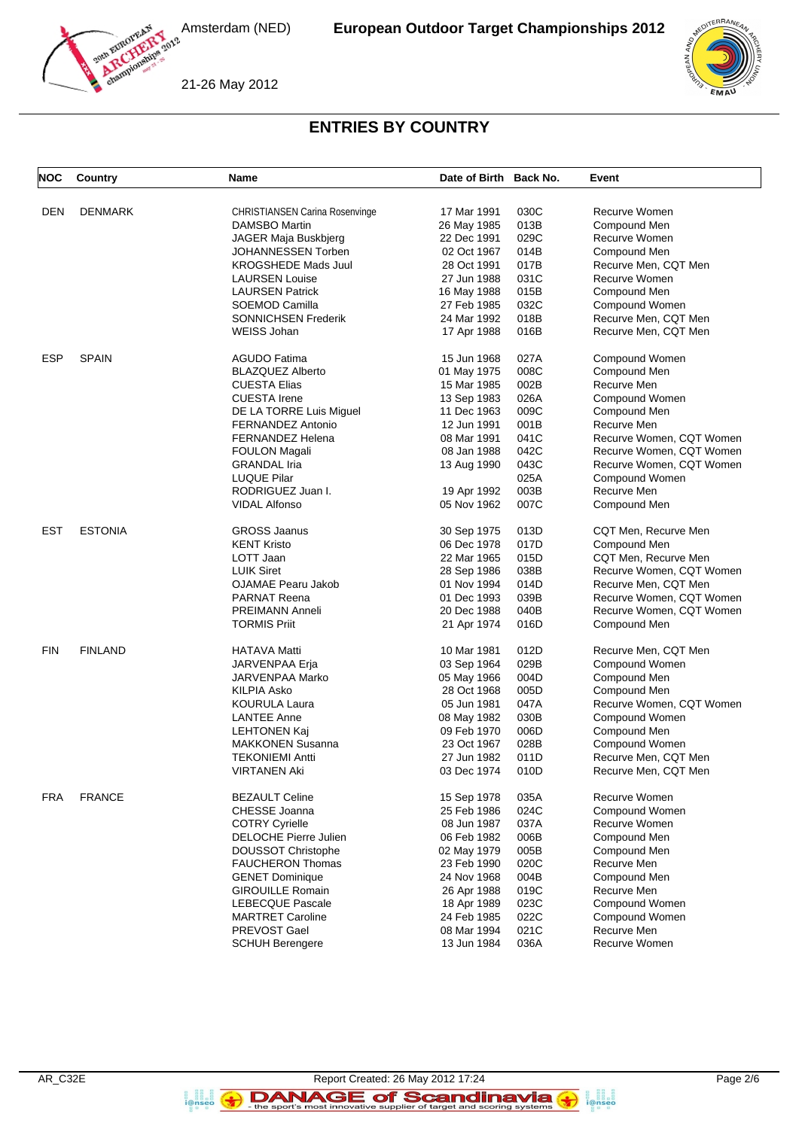



#### **ENTRIES BY COUNTRY**

| <b>NOC</b> | Country        | Name                                            | Date of Birth Back No. |              | Event                    |
|------------|----------------|-------------------------------------------------|------------------------|--------------|--------------------------|
| DEN        | <b>DENMARK</b> | <b>CHRISTIANSEN Carina Rosenvinge</b>           | 17 Mar 1991            | 030C         | Recurve Women            |
|            |                | <b>DAMSBO Martin</b>                            | 26 May 1985            | 013B         | Compound Men             |
|            |                | JAGER Maja Buskbjerg                            | 22 Dec 1991            | 029C         | Recurve Women            |
|            |                | JOHANNESSEN Torben                              | 02 Oct 1967            | 014B         | Compound Men             |
|            |                | <b>KROGSHEDE Mads Juul</b>                      | 28 Oct 1991            | 017B         | Recurve Men, CQT Men     |
|            |                |                                                 |                        | 031C         | Recurve Women            |
|            |                | <b>LAURSEN Louise</b><br><b>LAURSEN Patrick</b> | 27 Jun 1988            | 015B         | Compound Men             |
|            |                | SOEMOD Camilla                                  | 16 May 1988            |              |                          |
|            |                |                                                 | 27 Feb 1985            | 032C         | Compound Women           |
|            |                | <b>SONNICHSEN Frederik</b>                      | 24 Mar 1992            | 018B<br>016B | Recurve Men, CQT Men     |
|            |                | <b>WEISS Johan</b>                              | 17 Apr 1988            |              | Recurve Men, CQT Men     |
| ESP        | <b>SPAIN</b>   | <b>AGUDO Fatima</b>                             | 15 Jun 1968            | 027A         | Compound Women           |
|            |                | <b>BLAZQUEZ Alberto</b>                         | 01 May 1975            | 008C         | Compound Men             |
|            |                | <b>CUESTA Elias</b>                             | 15 Mar 1985            | 002B         | Recurve Men              |
|            |                | <b>CUESTA Irene</b>                             | 13 Sep 1983            | 026A         | Compound Women           |
|            |                | DE LA TORRE Luis Miguel                         | 11 Dec 1963            | 009C         | Compound Men             |
|            |                | <b>FERNANDEZ Antonio</b>                        | 12 Jun 1991            | 001B         | Recurve Men              |
|            |                | <b>FERNANDEZ Helena</b>                         | 08 Mar 1991            | 041C         | Recurve Women, CQT Women |
|            |                | <b>FOULON Magali</b>                            | 08 Jan 1988            | 042C         | Recurve Women, CQT Women |
|            |                | <b>GRANDAL</b> Iria                             | 13 Aug 1990            | 043C         | Recurve Women, CQT Women |
|            |                | <b>LUQUE Pilar</b>                              |                        | 025A         | Compound Women           |
|            |                | RODRIGUEZ Juan I.                               | 19 Apr 1992            | 003B         | Recurve Men              |
|            |                | <b>VIDAL Alfonso</b>                            | 05 Nov 1962            | 007C         | Compound Men             |
| EST        | <b>ESTONIA</b> | <b>GROSS Jaanus</b>                             | 30 Sep 1975            | 013D         | CQT Men, Recurve Men     |
|            |                | <b>KENT Kristo</b>                              | 06 Dec 1978            | 017D         | Compound Men             |
|            |                | LOTT Jaan                                       | 22 Mar 1965            | 015D         | CQT Men, Recurve Men     |
|            |                | <b>LUIK Siret</b>                               | 28 Sep 1986            | 038B         | Recurve Women, CQT Women |
|            |                | <b>OJAMAE Pearu Jakob</b>                       | 01 Nov 1994            | 014D         | Recurve Men, CQT Men     |
|            |                | <b>PARNAT Reena</b>                             | 01 Dec 1993            | 039B         | Recurve Women, CQT Women |
|            |                | <b>PREIMANN Anneli</b>                          | 20 Dec 1988            | 040B         | Recurve Women, CQT Women |
|            |                | <b>TORMIS Priit</b>                             | 21 Apr 1974            | 016D         | Compound Men             |
| <b>FIN</b> | <b>FINLAND</b> | <b>HATAVA Matti</b>                             | 10 Mar 1981            | 012D         | Recurve Men, CQT Men     |
|            |                | JARVENPAA Erja                                  | 03 Sep 1964            | 029B         | Compound Women           |
|            |                | JARVENPAA Marko                                 | 05 May 1966            | 004D         | Compound Men             |
|            |                | <b>KILPIA Asko</b>                              | 28 Oct 1968            | 005D         | Compound Men             |
|            |                | <b>KOURULA Laura</b>                            | 05 Jun 1981            | 047A         | Recurve Women, CQT Women |
|            |                | <b>LANTEE Anne</b>                              | 08 May 1982            | 030B         | Compound Women           |
|            |                | LEHTONEN Kaj                                    | 09 Feb 1970            | 006D         | Compound Men             |
|            |                | <b>MAKKONEN Susanna</b>                         | 23 Oct 1967            | 028B         | Compound Women           |
|            |                | <b>TEKONIEMI Antti</b>                          | 27 Jun 1982            | 011D         | Recurve Men, CQT Men     |
|            |                | VIRTANEN Aki                                    | 03 Dec 1974            | 010D         | Recurve Men, CQT Men     |
| FRA        | <b>FRANCE</b>  | <b>BEZAULT Celine</b>                           | 15 Sep 1978            | 035A         | Recurve Women            |
|            |                | CHESSE Joanna                                   | 25 Feb 1986            | 024C         | Compound Women           |
|            |                | <b>COTRY Cyrielle</b>                           | 08 Jun 1987            | 037A         | Recurve Women            |
|            |                | <b>DELOCHE Pierre Julien</b>                    | 06 Feb 1982            | 006B         | Compound Men             |
|            |                | <b>DOUSSOT Christophe</b>                       | 02 May 1979            | 005B         | Compound Men             |
|            |                | <b>FAUCHERON Thomas</b>                         | 23 Feb 1990            | 020C         | Recurve Men              |
|            |                | <b>GENET Dominique</b>                          | 24 Nov 1968            | 004B         | Compound Men             |
|            |                | <b>GIROUILLE Romain</b>                         | 26 Apr 1988            | 019C         | Recurve Men              |
|            |                | <b>LEBECQUE Pascale</b>                         | 18 Apr 1989            | 023C         | Compound Women           |
|            |                | <b>MARTRET Caroline</b>                         | 24 Feb 1985            | 022C         | Compound Women           |
|            |                | PREVOST Gael                                    | 08 Mar 1994            | 021C         | Recurve Men              |
|            |                | <b>SCHUH Berengere</b>                          | 13 Jun 1984            | 036A         | Recurve Women            |
|            |                |                                                 |                        |              |                          |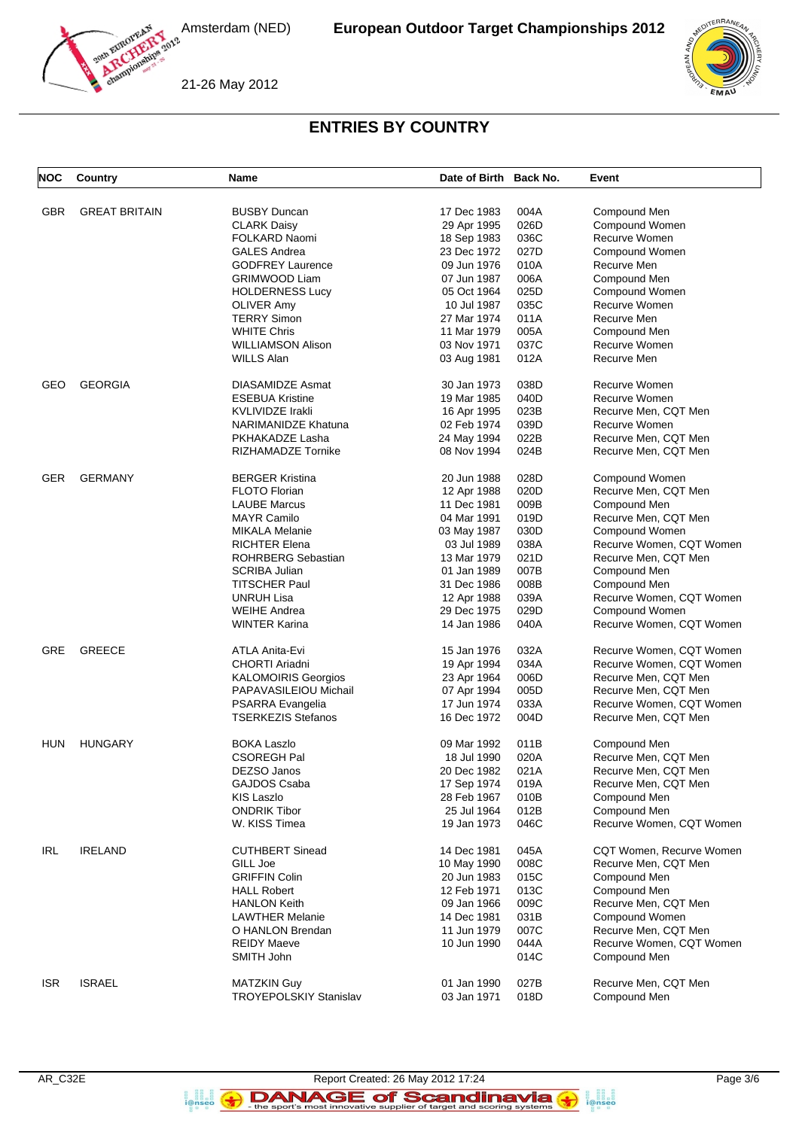



21-26 May 2012

# **ENTRIES BY COUNTRY**

| <b>NOC</b> | Country              | Name                          | Date of Birth Back No. |      | Event                    |
|------------|----------------------|-------------------------------|------------------------|------|--------------------------|
| GBR        | <b>GREAT BRITAIN</b> | <b>BUSBY Duncan</b>           | 17 Dec 1983            | 004A | Compound Men             |
|            |                      | <b>CLARK Daisy</b>            | 29 Apr 1995            | 026D | Compound Women           |
|            |                      | <b>FOLKARD Naomi</b>          | 18 Sep 1983            | 036C | Recurve Women            |
|            |                      | <b>GALES Andrea</b>           | 23 Dec 1972            | 027D | Compound Women           |
|            |                      | <b>GODFREY Laurence</b>       | 09 Jun 1976            | 010A | Recurve Men              |
|            |                      |                               |                        | 006A |                          |
|            |                      | <b>GRIMWOOD Liam</b>          | 07 Jun 1987            |      | Compound Men             |
|            |                      | <b>HOLDERNESS Lucy</b>        | 05 Oct 1964            | 025D | Compound Women           |
|            |                      | <b>OLIVER Amy</b>             | 10 Jul 1987            | 035C | Recurve Women            |
|            |                      | <b>TERRY Simon</b>            | 27 Mar 1974            | 011A | Recurve Men              |
|            |                      | <b>WHITE Chris</b>            | 11 Mar 1979            | 005A | Compound Men             |
|            |                      | <b>WILLIAMSON Alison</b>      | 03 Nov 1971            | 037C | Recurve Women            |
|            |                      | WILLS Alan                    | 03 Aug 1981            | 012A | Recurve Men              |
| GEO        | <b>GEORGIA</b>       | DIASAMIDZE Asmat              | 30 Jan 1973            | 038D | Recurve Women            |
|            |                      | <b>ESEBUA Kristine</b>        | 19 Mar 1985            | 040D | Recurve Women            |
|            |                      | <b>KVLIVIDZE Irakli</b>       | 16 Apr 1995            | 023B | Recurve Men, CQT Men     |
|            |                      | NARIMANIDZE Khatuna           | 02 Feb 1974            | 039D | Recurve Women            |
|            |                      | PKHAKADZE Lasha               | 24 May 1994            | 022B | Recurve Men, CQT Men     |
|            |                      | RIZHAMADZE Tornike            | 08 Nov 1994            | 024B | Recurve Men, CQT Men     |
| GER        | <b>GERMANY</b>       | <b>BERGER Kristina</b>        | 20 Jun 1988            | 028D | Compound Women           |
|            |                      | <b>FLOTO Florian</b>          | 12 Apr 1988            | 020D | Recurve Men, CQT Men     |
|            |                      | <b>LAUBE Marcus</b>           | 11 Dec 1981            | 009B | Compound Men             |
|            |                      | <b>MAYR Camilo</b>            | 04 Mar 1991            | 019D | Recurve Men, CQT Men     |
|            |                      | <b>MIKALA Melanie</b>         | 03 May 1987            | 030D | Compound Women           |
|            |                      | <b>RICHTER Elena</b>          | 03 Jul 1989            | 038A | Recurve Women, CQT Women |
|            |                      |                               |                        | 021D |                          |
|            |                      | <b>ROHRBERG Sebastian</b>     | 13 Mar 1979            |      | Recurve Men, CQT Men     |
|            |                      | SCRIBA Julian                 | 01 Jan 1989            | 007B | Compound Men             |
|            |                      | <b>TITSCHER Paul</b>          | 31 Dec 1986            | 008B | Compound Men             |
|            |                      | <b>UNRUH Lisa</b>             | 12 Apr 1988            | 039A | Recurve Women, CQT Women |
|            |                      | <b>WEIHE Andrea</b>           | 29 Dec 1975            | 029D | Compound Women           |
|            |                      | <b>WINTER Karina</b>          | 14 Jan 1986            | 040A | Recurve Women, CQT Women |
| GRE        | <b>GREECE</b>        | ATLA Anita-Evi                | 15 Jan 1976            | 032A | Recurve Women, CQT Women |
|            |                      | <b>CHORTI Ariadni</b>         | 19 Apr 1994            | 034A | Recurve Women, CQT Women |
|            |                      | <b>KALOMOIRIS Georgios</b>    | 23 Apr 1964            | 006D | Recurve Men, CQT Men     |
|            |                      | PAPAVASILEIOU Michail         | 07 Apr 1994            | 005D | Recurve Men, CQT Men     |
|            |                      | PSARRA Evangelia              | 17 Jun 1974            | 033A | Recurve Women, CQT Women |
|            |                      | <b>TSERKEZIS Stefanos</b>     | 16 Dec 1972            | 004D | Recurve Men, CQT Men     |
| <b>HUN</b> | <b>HUNGARY</b>       | <b>BOKA Laszlo</b>            | 09 Mar 1992            | 011B | Compound Men             |
|            |                      | <b>CSOREGH Pal</b>            | 18 Jul 1990            | 020A | Recurve Men, CQT Men     |
|            |                      | DEZSO Janos                   | 20 Dec 1982            | 021A | Recurve Men, CQT Men     |
|            |                      | GAJDOS Csaba                  | 17 Sep 1974            | 019A | Recurve Men, CQT Men     |
|            |                      | <b>KIS Laszlo</b>             | 28 Feb 1967            | 010B | Compound Men             |
|            |                      | <b>ONDRIK Tibor</b>           | 25 Jul 1964            | 012B | Compound Men             |
|            |                      | W. KISS Timea                 | 19 Jan 1973            | 046C | Recurve Women, CQT Women |
|            |                      |                               |                        |      |                          |
| IRL        | <b>IRELAND</b>       | <b>CUTHBERT Sinead</b>        | 14 Dec 1981            | 045A | CQT Women, Recurve Women |
|            |                      | GILL Joe                      | 10 May 1990            | 008C | Recurve Men, CQT Men     |
|            |                      | <b>GRIFFIN Colin</b>          | 20 Jun 1983            | 015C | Compound Men             |
|            |                      | <b>HALL Robert</b>            | 12 Feb 1971            | 013C | Compound Men             |
|            |                      | <b>HANLON Keith</b>           | 09 Jan 1966            | 009C | Recurve Men, CQT Men     |
|            |                      | <b>LAWTHER Melanie</b>        | 14 Dec 1981            | 031B | Compound Women           |
|            |                      | O HANLON Brendan              | 11 Jun 1979            | 007C | Recurve Men, CQT Men     |
|            |                      | <b>REIDY Maeve</b>            | 10 Jun 1990            | 044A | Recurve Women, CQT Women |
|            |                      | SMITH John                    |                        | 014C | Compound Men             |
| <b>ISR</b> | <b>ISRAEL</b>        | <b>MATZKIN Guy</b>            | 01 Jan 1990            | 027B | Recurve Men, CQT Men     |
|            |                      | <b>TROYEPOLSKIY Stanislav</b> | 03 Jan 1971            | 018D | Compound Men             |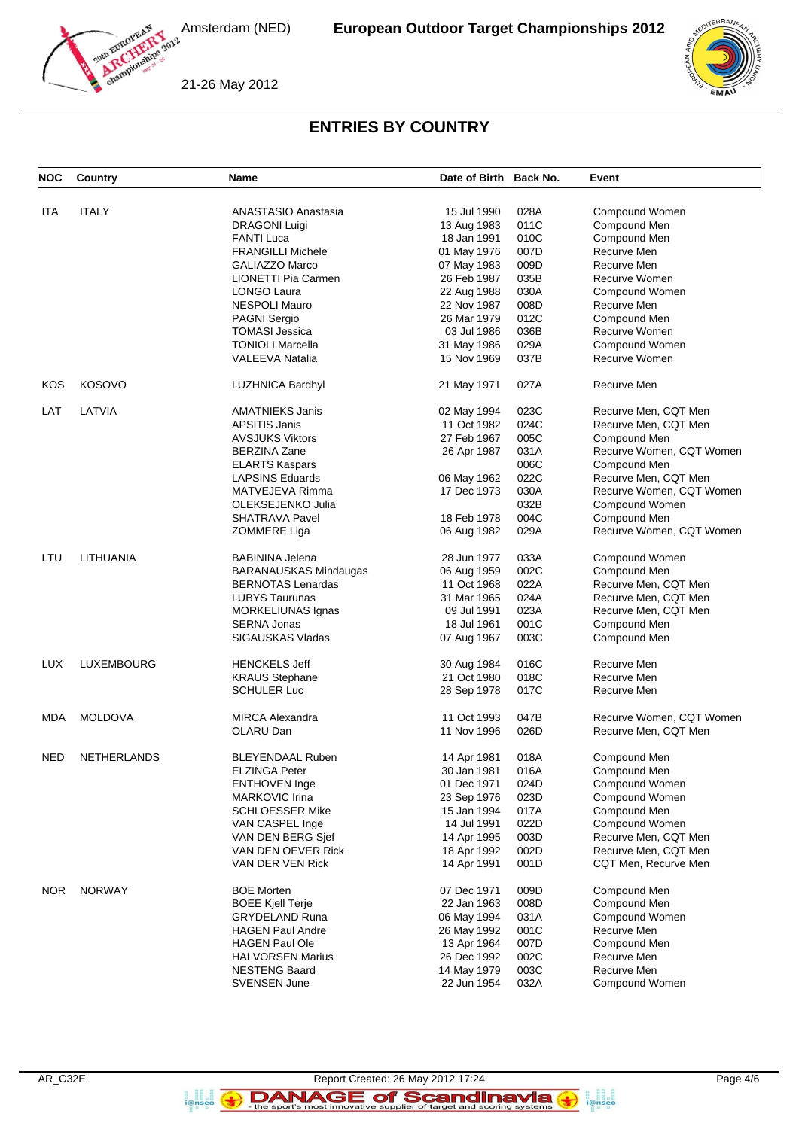



21-26 May 2012

## **ENTRIES BY COUNTRY**

| <b>NOC</b> | Country            | Name                         | Date of Birth Back No. |      | Event                    |
|------------|--------------------|------------------------------|------------------------|------|--------------------------|
| <b>ITA</b> | <b>ITALY</b>       | ANASTASIO Anastasia          |                        | 028A |                          |
|            |                    |                              | 15 Jul 1990            |      | Compound Women           |
|            |                    | <b>DRAGONI Luigi</b>         | 13 Aug 1983            | 011C | Compound Men             |
|            |                    | <b>FANTI Luca</b>            | 18 Jan 1991            | 010C | Compound Men             |
|            |                    | <b>FRANGILLI Michele</b>     | 01 May 1976            | 007D | Recurve Men              |
|            |                    | <b>GALIAZZO Marco</b>        | 07 May 1983            | 009D | Recurve Men              |
|            |                    | LIONETTI Pia Carmen          | 26 Feb 1987            | 035B | Recurve Women            |
|            |                    | LONGO Laura                  | 22 Aug 1988            | 030A | Compound Women           |
|            |                    | <b>NESPOLI Mauro</b>         | 22 Nov 1987            | 008D | Recurve Men              |
|            |                    | <b>PAGNI Sergio</b>          | 26 Mar 1979            | 012C | Compound Men             |
|            |                    | <b>TOMASI Jessica</b>        | 03 Jul 1986            | 036B | Recurve Women            |
|            |                    | <b>TONIOLI Marcella</b>      | 31 May 1986            | 029A | Compound Women           |
|            |                    | <b>VALEEVA Natalia</b>       | 15 Nov 1969            | 037B | Recurve Women            |
|            |                    |                              |                        |      |                          |
| KOS        | KOSOVO             | <b>LUZHNICA Bardhyl</b>      | 21 May 1971            | 027A | Recurve Men              |
| LAT        | LATVIA             | <b>AMATNIEKS Janis</b>       | 02 May 1994            | 023C | Recurve Men, CQT Men     |
|            |                    | <b>APSITIS Janis</b>         | 11 Oct 1982            | 024C | Recurve Men, CQT Men     |
|            |                    | <b>AVSJUKS Viktors</b>       | 27 Feb 1967            | 005C | Compound Men             |
|            |                    | <b>BERZINA Zane</b>          | 26 Apr 1987            | 031A | Recurve Women, CQT Women |
|            |                    | <b>ELARTS Kaspars</b>        |                        | 006C | Compound Men             |
|            |                    | <b>LAPSINS Eduards</b>       | 06 May 1962            | 022C | Recurve Men, CQT Men     |
|            |                    | MATVEJEVA Rimma              | 17 Dec 1973            | 030A | Recurve Women, CQT Women |
|            |                    | OLEKSEJENKO Julia            |                        | 032B | Compound Women           |
|            |                    |                              |                        |      |                          |
|            |                    | <b>SHATRAVA Pavel</b>        | 18 Feb 1978            | 004C | Compound Men             |
|            |                    | ZOMMERE Liga                 | 06 Aug 1982            | 029A | Recurve Women, CQT Women |
| LTU        | <b>LITHUANIA</b>   | <b>BABININA Jelena</b>       | 28 Jun 1977            | 033A | Compound Women           |
|            |                    | <b>BARANAUSKAS Mindaugas</b> | 06 Aug 1959            | 002C | Compound Men             |
|            |                    | <b>BERNOTAS Lenardas</b>     | 11 Oct 1968            | 022A | Recurve Men, CQT Men     |
|            |                    | <b>LUBYS Taurunas</b>        | 31 Mar 1965            | 024A | Recurve Men, CQT Men     |
|            |                    | MORKELIUNAS Ignas            | 09 Jul 1991            | 023A | Recurve Men, CQT Men     |
|            |                    | <b>SERNA Jonas</b>           | 18 Jul 1961            | 001C | Compound Men             |
|            |                    | <b>SIGAUSKAS Vladas</b>      | 07 Aug 1967            | 003C | Compound Men             |
|            |                    |                              |                        |      |                          |
| <b>LUX</b> | <b>LUXEMBOURG</b>  | <b>HENCKELS Jeff</b>         | 30 Aug 1984            | 016C | Recurve Men              |
|            |                    | <b>KRAUS Stephane</b>        | 21 Oct 1980            | 018C | Recurve Men              |
|            |                    | <b>SCHULER Luc</b>           | 28 Sep 1978            | 017C | Recurve Men              |
| MDA        | <b>MOLDOVA</b>     | <b>MIRCA Alexandra</b>       | 11 Oct 1993            | 047B | Recurve Women, CQT Women |
|            |                    | OLARU Dan                    | 11 Nov 1996            | 026D | Recurve Men, CQT Men     |
| <b>NED</b> | <b>NETHERLANDS</b> | <b>BLEYENDAAL Ruben</b>      | 14 Apr 1981            | 018A | Compound Men             |
|            |                    | ELZINGA Peter                | 30 Jan 1981            | 016A | Compound Men             |
|            |                    | <b>ENTHOVEN Inge</b>         | 01 Dec 1971            | 024D | Compound Women           |
|            |                    | MARKOVIC Irina               | 23 Sep 1976            | 023D | Compound Women           |
|            |                    | <b>SCHLOESSER Mike</b>       | 15 Jan 1994            |      | Compound Men             |
|            |                    |                              |                        | 017A |                          |
|            |                    | VAN CASPEL Inge              | 14 Jul 1991            | 022D | Compound Women           |
|            |                    | VAN DEN BERG Sjef            | 14 Apr 1995            | 003D | Recurve Men, CQT Men     |
|            |                    | VAN DEN OEVER Rick           | 18 Apr 1992            | 002D | Recurve Men, CQT Men     |
|            |                    | VAN DER VEN Rick             | 14 Apr 1991            | 001D | CQT Men, Recurve Men     |
| <b>NOR</b> | <b>NORWAY</b>      | <b>BOE Morten</b>            | 07 Dec 1971            | 009D | Compound Men             |
|            |                    | <b>BOEE Kjell Terje</b>      | 22 Jan 1963            | 008D | Compound Men             |
|            |                    | <b>GRYDELAND Runa</b>        | 06 May 1994            | 031A | Compound Women           |
|            |                    | <b>HAGEN Paul Andre</b>      | 26 May 1992            | 001C | Recurve Men              |
|            |                    | <b>HAGEN Paul Ole</b>        |                        | 007D | Compound Men             |
|            |                    |                              | 13 Apr 1964            |      |                          |
|            |                    | <b>HALVORSEN Marius</b>      | 26 Dec 1992            | 002C | Recurve Men              |
|            |                    | <b>NESTENG Baard</b>         | 14 May 1979            | 003C | Recurve Men              |
|            |                    | SVENSEN June                 | 22 Jun 1954            | 032A | Compound Women           |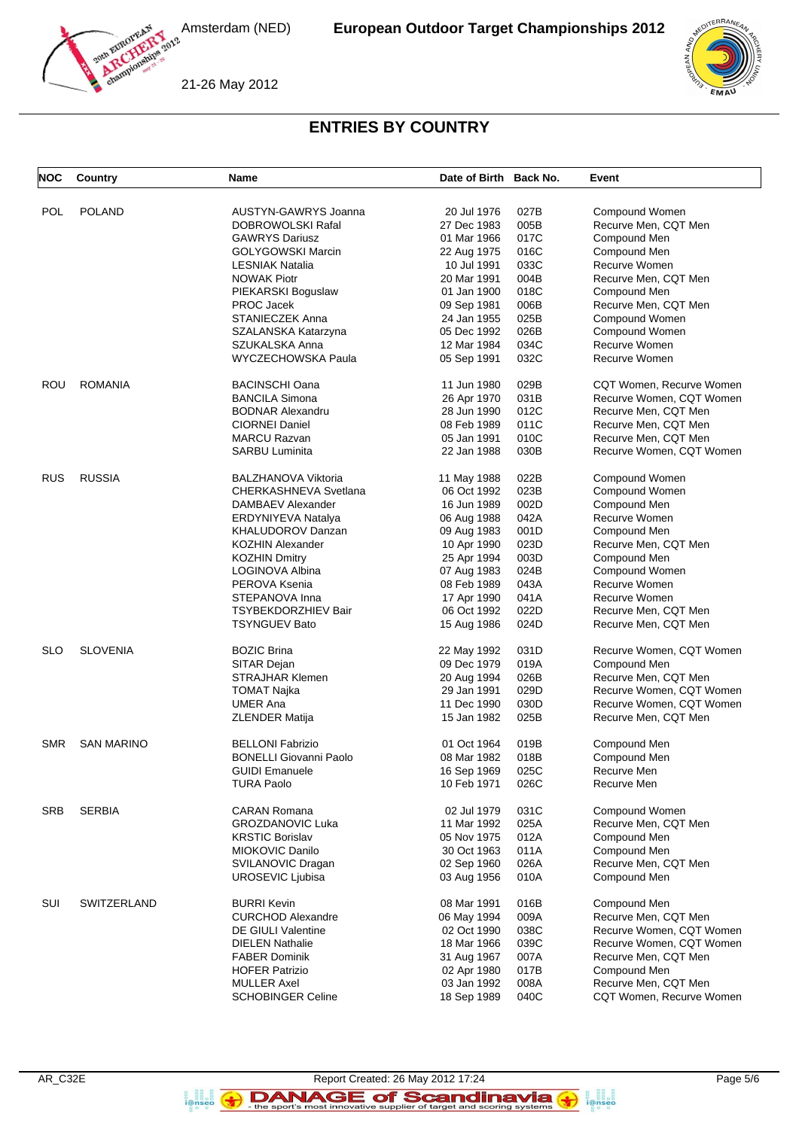

21-26 May 2012



# **ENTRIES BY COUNTRY**

| <b>NOC</b> | Country           | <b>Name</b>                                | Date of Birth Back No. |              | Event                                |
|------------|-------------------|--------------------------------------------|------------------------|--------------|--------------------------------------|
| <b>POL</b> | <b>POLAND</b>     | AUSTYN-GAWRYS Joanna                       | 20 Jul 1976            | 027B         | Compound Women                       |
|            |                   |                                            |                        |              |                                      |
|            |                   | DOBROWOLSKI Rafal<br><b>GAWRYS Dariusz</b> | 27 Dec 1983            | 005B<br>017C | Recurve Men, CQT Men<br>Compound Men |
|            |                   |                                            | 01 Mar 1966            |              |                                      |
|            |                   | <b>GOLYGOWSKI Marcin</b>                   | 22 Aug 1975            | 016C         | Compound Men                         |
|            |                   | <b>LESNIAK Natalia</b>                     | 10 Jul 1991            | 033C         | Recurve Women                        |
|            |                   | <b>NOWAK Piotr</b>                         | 20 Mar 1991            | 004B         | Recurve Men, CQT Men                 |
|            |                   | PIEKARSKI Boguslaw                         | 01 Jan 1900            | 018C         | Compound Men                         |
|            |                   | PROC Jacek                                 | 09 Sep 1981            | 006B         | Recurve Men, CQT Men                 |
|            |                   | STANIECZEK Anna                            | 24 Jan 1955            | 025B         | Compound Women                       |
|            |                   | SZALANSKA Katarzyna                        | 05 Dec 1992            | 026B         | Compound Women                       |
|            |                   | SZUKALSKA Anna                             | 12 Mar 1984            | 034C         | Recurve Women                        |
|            |                   | WYCZECHOWSKA Paula                         | 05 Sep 1991            | 032C         | Recurve Women                        |
| ROU        | <b>ROMANIA</b>    | <b>BACINSCHI Oana</b>                      | 11 Jun 1980            | 029B         | CQT Women, Recurve Women             |
|            |                   | <b>BANCILA Simona</b>                      | 26 Apr 1970            | 031B         | Recurve Women, CQT Women             |
|            |                   | <b>BODNAR Alexandru</b>                    | 28 Jun 1990            | 012C         | Recurve Men, CQT Men                 |
|            |                   | <b>CIORNEI Daniel</b>                      | 08 Feb 1989            | 011C         | Recurve Men, CQT Men                 |
|            |                   | <b>MARCU Razvan</b>                        | 05 Jan 1991            | 010C         | Recurve Men, CQT Men                 |
|            |                   | <b>SARBU Luminita</b>                      | 22 Jan 1988            | 030B         | Recurve Women, CQT Women             |
| <b>RUS</b> | <b>RUSSIA</b>     | <b>BALZHANOVA Viktoria</b>                 | 11 May 1988            | 022B         | Compound Women                       |
|            |                   | CHERKASHNEVA Svetlana                      | 06 Oct 1992            | 023B         | Compound Women                       |
|            |                   | DAMBAEV Alexander                          | 16 Jun 1989            | 002D         |                                      |
|            |                   |                                            |                        |              | Compound Men                         |
|            |                   | <b>ERDYNIYEVA Natalya</b>                  | 06 Aug 1988            | 042A         | Recurve Women                        |
|            |                   | KHALUDOROV Danzan                          | 09 Aug 1983            | 001D         | Compound Men                         |
|            |                   | <b>KOZHIN Alexander</b>                    | 10 Apr 1990            | 023D         | Recurve Men, CQT Men                 |
|            |                   | <b>KOZHIN Dmitry</b>                       | 25 Apr 1994            | 003D         | Compound Men                         |
|            |                   | LOGINOVA Albina                            | 07 Aug 1983            | 024B         | Compound Women                       |
|            |                   | PEROVA Ksenia                              | 08 Feb 1989            | 043A         | Recurve Women                        |
|            |                   | STEPANOVA Inna                             | 17 Apr 1990            | 041A         | Recurve Women                        |
|            |                   | <b>TSYBEKDORZHIEV Bair</b>                 | 06 Oct 1992            | 022D         | Recurve Men, CQT Men                 |
|            |                   | <b>TSYNGUEV Bato</b>                       | 15 Aug 1986            | 024D         | Recurve Men, CQT Men                 |
| <b>SLO</b> | <b>SLOVENIA</b>   | <b>BOZIC Brina</b>                         | 22 May 1992            | 031D         | Recurve Women, CQT Women             |
|            |                   | SITAR Dejan                                | 09 Dec 1979            | 019A         | Compound Men                         |
|            |                   | <b>STRAJHAR Klemen</b>                     | 20 Aug 1994            | 026B         | Recurve Men, CQT Men                 |
|            |                   | <b>TOMAT Najka</b>                         | 29 Jan 1991            | 029D         | Recurve Women, CQT Women             |
|            |                   | <b>UMER Ana</b>                            | 11 Dec 1990            | 030D         | Recurve Women, CQT Women             |
|            |                   | <b>ZLENDER Matija</b>                      | 15 Jan 1982            | 025B         | Recurve Men, CQT Men                 |
|            |                   |                                            |                        |              |                                      |
| <b>SMR</b> | <b>SAN MARINO</b> | <b>BELLONI Fabrizio</b>                    | 01 Oct 1964            | 019B         | Compound Men                         |
|            |                   | <b>BONELLI Giovanni Paolo</b>              | 08 Mar 1982            | 018B         | Compound Men                         |
|            |                   | <b>GUIDI Emanuele</b>                      | 16 Sep 1969            | 025C         | Recurve Men                          |
|            |                   | <b>TURA Paolo</b>                          | 10 Feb 1971            | 026C         | Recurve Men                          |
| <b>SRB</b> | <b>SERBIA</b>     | <b>CARAN Romana</b>                        | 02 Jul 1979            | 031C         | Compound Women                       |
|            |                   | <b>GROZDANOVIC Luka</b>                    | 11 Mar 1992            | 025A         | Recurve Men, CQT Men                 |
|            |                   | <b>KRSTIC Borislav</b>                     | 05 Nov 1975            | 012A         | Compound Men                         |
|            |                   | MIOKOVIC Danilo                            | 30 Oct 1963            | 011A         | Compound Men                         |
|            |                   | SVILANOVIC Dragan                          | 02 Sep 1960            | 026A         | Recurve Men, CQT Men                 |
|            |                   | UROSEVIC Ljubisa                           | 03 Aug 1956            | 010A         | Compound Men                         |
| SUI        | SWITZERLAND       | <b>BURRI Kevin</b>                         | 08 Mar 1991            | 016B         | Compound Men                         |
|            |                   | <b>CURCHOD Alexandre</b>                   | 06 May 1994            | 009A         | Recurve Men, CQT Men                 |
|            |                   | <b>DE GIULI Valentine</b>                  | 02 Oct 1990            | 038C         | Recurve Women, CQT Women             |
|            |                   |                                            |                        |              |                                      |
|            |                   | <b>DIELEN Nathalie</b>                     | 18 Mar 1966            | 039C         | Recurve Women, CQT Women             |
|            |                   | <b>FABER Dominik</b>                       | 31 Aug 1967            | 007A         | Recurve Men, CQT Men                 |
|            |                   | <b>HOFER Patrizio</b>                      | 02 Apr 1980            | 017B         | Compound Men                         |
|            |                   | <b>MULLER Axel</b>                         | 03 Jan 1992            | 008A         | Recurve Men, CQT Men                 |
|            |                   | <b>SCHOBINGER Celine</b>                   | 18 Sep 1989            | 040C         | CQT Women, Recurve Women             |